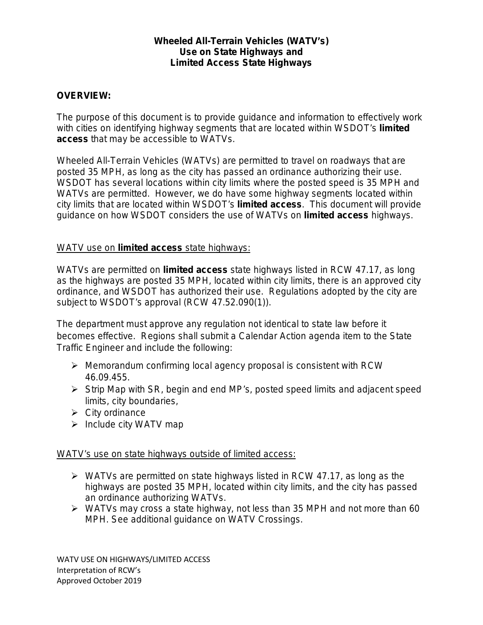## **Wheeled All-Terrain Vehicles (WATV's) Use on State Highways and Limited Access State Highways**

# **OVERVIEW:**

The purpose of this document is to provide guidance and information to effectively work with cities on identifying highway segments that are located within WSDOT's *limited access* that may be accessible to WATVs.

Wheeled All-Terrain Vehicles (WATVs) are permitted to travel on roadways that are posted 35 MPH, as long as the city has passed an ordinance authorizing their use. WSDOT has several locations within city limits where the posted speed is 35 MPH and WATVs are permitted. However, we do have some highway segments located within city limits that are located within WSDOT's *limited access*. This document will provide guidance on how WSDOT considers the use of WATVs on *limited access* highways.

# WATV use on *limited access* state highways:

WATVs are permitted on *limited access* state highways listed in RCW 47.17, as long as the highways are posted 35 MPH, located within city limits, there is an approved city ordinance, and WSDOT has authorized their use. Regulations adopted by the city are subject to WSDOT's approval (RCW 47.52.090(1)).

The department must approve any regulation not identical to state law before it becomes effective. Regions shall submit a Calendar Action agenda item to the State Traffic Engineer and include the following:

- $\triangleright$  Memorandum confirming local agency proposal is consistent with RCW 46.09.455.
- $\triangleright$  Strip Map with SR, begin and end MP's, posted speed limits and adjacent speed limits, city boundaries,
- $\triangleright$  City ordinance
- $\triangleright$  Include city WATV map

### WATV's use on state highways outside of *limited access*:

- $\triangleright$  WATVs are permitted on state highways listed in RCW 47.17, as long as the highways are posted 35 MPH, located within city limits, and the city has passed an ordinance authorizing WATVs.
- $\triangleright$  WATVs may cross a state highway, not less than 35 MPH and not more than 60 MPH. See additional guidance on *WATV Crossings*.

WATV USE ON HIGHWAYS/LIMITED ACCESS Interpretation of RCW's Approved October 2019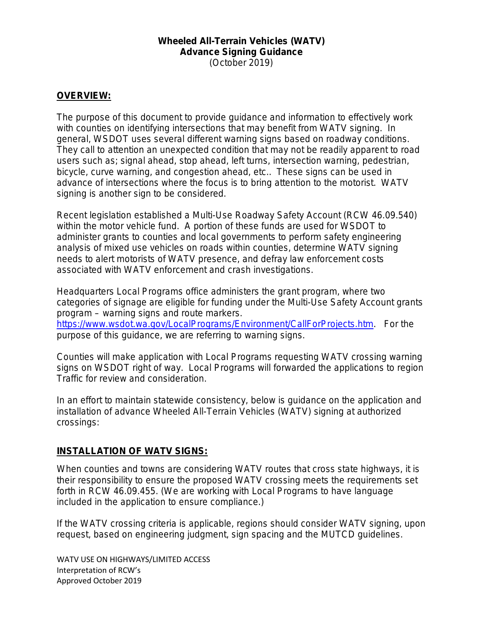#### **Wheeled All-Terrain Vehicles (WATV) Advance Signing Guidance** (October 2019)

### **OVERVIEW:**

The purpose of this document to provide guidance and information to effectively work with counties on identifying intersections that may benefit from WATV signing. In general, WSDOT uses several different warning signs based on roadway conditions. They call to attention an unexpected condition that may not be readily apparent to road users such as; signal ahead, stop ahead, left turns, intersection warning, pedestrian, bicycle, curve warning, and congestion ahead, etc.. These signs can be used in advance of intersections where the focus is to bring attention to the motorist. WATV signing is another sign to be considered.

Recent legislation established a Multi-Use Roadway Safety Account (RCW 46.09.540) within the motor vehicle fund. A portion of these funds are used for WSDOT to administer grants to counties and local governments to perform safety engineering analysis of mixed use vehicles on roads within counties, determine WATV signing needs to alert motorists of WATV presence, and defray law enforcement costs associated with WATV enforcement and crash investigations.

Headquarters Local Programs office administers the grant program, where two categories of signage are eligible for funding under the Multi-Use Safety Account grants program – warning signs and route markers. [https://www.wsdot.wa.gov/LocalPrograms/Environment/CallForProjects.htm.](https://www.wsdot.wa.gov/LocalPrograms/Environment/CallForProjects.htm) For the purpose of this guidance, we are referring to warning signs.

Counties will make application with Local Programs requesting WATV crossing warning signs on WSDOT right of way. Local Programs will forwarded the applications to region Traffic for review and consideration.

In an effort to maintain statewide consistency, below is guidance on the application and installation of advance Wheeled All-Terrain Vehicles (WATV) signing at authorized crossings:

#### **INSTALLATION OF WATV SIGNS:**

When counties and towns are considering WATV routes that cross state highways, it is their responsibility to ensure the proposed WATV crossing meets the requirements set forth in RCW 46.09.455. (We are working with Local Programs to have language included in the application to ensure compliance.)

If the WATV crossing criteria is applicable, regions should consider WATV signing, upon request, based on engineering judgment, sign spacing and the MUTCD guidelines.

WATV USE ON HIGHWAYS/LIMITED ACCESS Interpretation of RCW's Approved October 2019